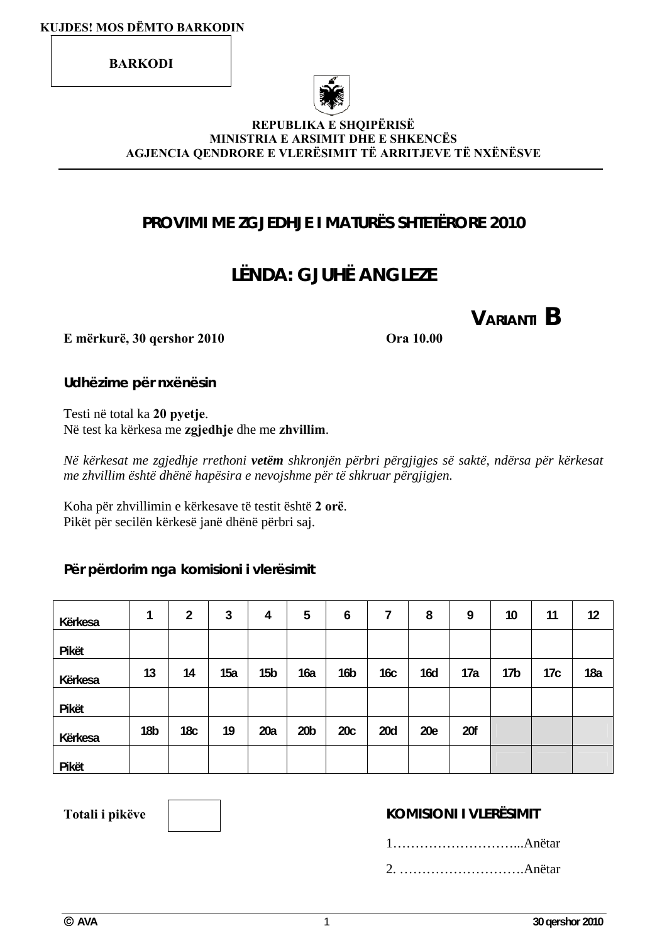**BARKODI** 



#### **REPUBLIKA E SHQIPËRISË MINISTRIA E ARSIMIT DHE E SHKENCËS AGJENCIA QENDRORE E VLERËSIMIT TË ARRITJEVE TË NXËNËSVE**

### **PROVIMI ME ZGJEDHJE I MATURËS SHTETËRORE 2010**

# **LËNDA: GJUHË ANGLEZE**

**VARIANTI B**

**E mërkurë, 30 qershor 2010 Ora 10.00** 

**Udhëzime për nxënësin** 

Testi në total ka **20 pyetje**. Në test ka kërkesa me **zgjedhje** dhe me **zhvillim**.

*Në kërkesat me zgjedhje rrethoni vetëm shkronjën përbri përgjigjes së saktë, ndërsa për kërkesat me zhvillim është dhënë hapësira e nevojshme për të shkruar përgjigjen.* 

Koha për zhvillimin e kërkesave të testit është **2 orë**. Pikët për secilën kërkesë janë dhënë përbri saj.

#### **Për përdorim nga komisioni i vlerësimit**

| Kërkesa |     | 2               | 3   | 4               | 5               | 6               | 7   | 8   | 9   | 10              | 11  | 12  |
|---------|-----|-----------------|-----|-----------------|-----------------|-----------------|-----|-----|-----|-----------------|-----|-----|
| Pikët   |     |                 |     |                 |                 |                 |     |     |     |                 |     |     |
| Kërkesa | 13  | 14              | 15a | 15 <sub>b</sub> | 16a             | 16 <sub>b</sub> | 16c | 16d | 17a | 17 <sub>b</sub> | 17c | 18a |
| Pikët   |     |                 |     |                 |                 |                 |     |     |     |                 |     |     |
| Kërkesa | 18b | 18 <sub>c</sub> | 19  | 20a             | 20 <sub>b</sub> | 20c             | 20d | 20e | 20f |                 |     |     |
| Pikët   |     |                 |     |                 |                 |                 |     |     |     |                 |     |     |

#### Totali i pikëve **bashmen i komisioni i verit nga matshmen i komisioni i vlerësimit**

1………………………...Anëtar

2. ……………………….Anëtar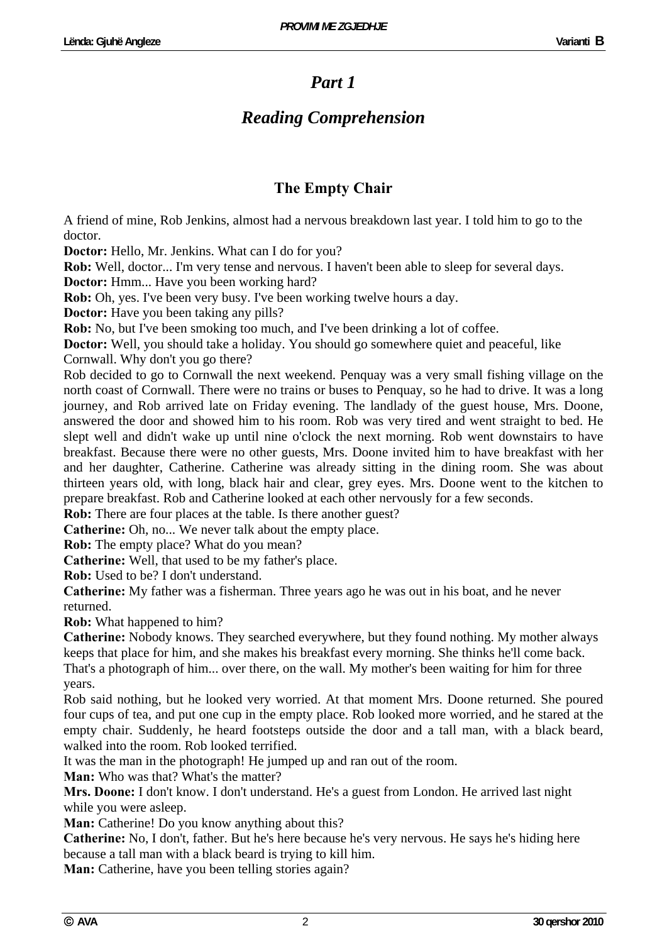## *Part 1*

## *Reading Comprehension*

### **The Empty Chair**

A friend of mine, Rob Jenkins, almost had a nervous breakdown last year. I told him to go to the doctor.

**Doctor:** Hello, Mr. Jenkins. What can I do for you?

**Rob:** Well, doctor... I'm very tense and nervous. I haven't been able to sleep for several days. **Doctor:** Hmm... Have you been working hard?

**Rob:** Oh, yes. I've been very busy. I've been working twelve hours a day.

**Doctor:** Have you been taking any pills?

**Rob:** No, but I've been smoking too much, and I've been drinking a lot of coffee.

**Doctor:** Well, you should take a holiday. You should go somewhere quiet and peaceful, like Cornwall. Why don't you go there?

Rob decided to go to Cornwall the next weekend. Penquay was a very small fishing village on the north coast of Cornwall. There were no trains or buses to Penquay, so he had to drive. It was a long journey, and Rob arrived late on Friday evening. The landlady of the guest house, Mrs. Doone, answered the door and showed him to his room. Rob was very tired and went straight to bed. He slept well and didn't wake up until nine o'clock the next morning. Rob went downstairs to have breakfast. Because there were no other guests, Mrs. Doone invited him to have breakfast with her and her daughter, Catherine. Catherine was already sitting in the dining room. She was about thirteen years old, with long, black hair and clear, grey eyes. Mrs. Doone went to the kitchen to prepare breakfast. Rob and Catherine looked at each other nervously for a few seconds.

**Rob:** There are four places at the table. Is there another guest?

**Catherine:** Oh, no... We never talk about the empty place.

**Rob:** The empty place? What do you mean?

**Catherine:** Well, that used to be my father's place.

**Rob:** Used to be? I don't understand.

**Catherine:** My father was a fisherman. Three years ago he was out in his boat, and he never returned.

**Rob:** What happened to him?

**Catherine:** Nobody knows. They searched everywhere, but they found nothing. My mother always keeps that place for him, and she makes his breakfast every morning. She thinks he'll come back. That's a photograph of him... over there, on the wall. My mother's been waiting for him for three years.

Rob said nothing, but he looked very worried. At that moment Mrs. Doone returned. She poured four cups of tea, and put one cup in the empty place. Rob looked more worried, and he stared at the empty chair. Suddenly, he heard footsteps outside the door and a tall man, with a black beard, walked into the room. Rob looked terrified.

It was the man in the photograph! He jumped up and ran out of the room.

**Man:** Who was that? What's the matter?

**Mrs. Doone:** I don't know. I don't understand. He's a guest from London. He arrived last night while you were asleep.

**Man:** Catherine! Do you know anything about this?

**Catherine:** No, I don't, father. But he's here because he's very nervous. He says he's hiding here because a tall man with a black beard is trying to kill him.

**Man:** Catherine, have you been telling stories again?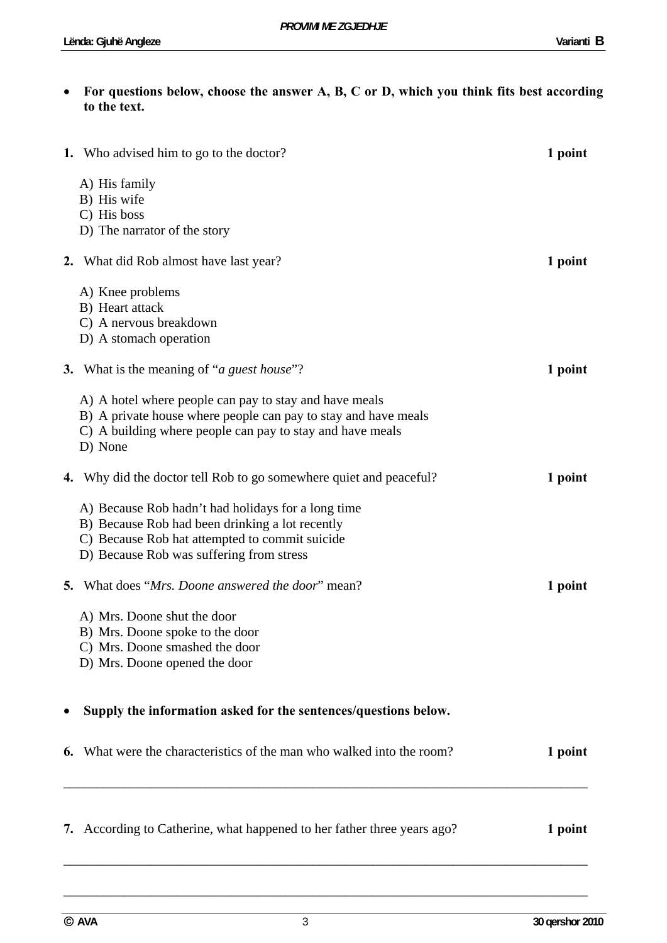• **For questions below, choose the answer A, B, C or D, which you think fits best according to the text.** 

|    | 1. Who advised him to go to the doctor?                                                                                                                                                             | 1 point |
|----|-----------------------------------------------------------------------------------------------------------------------------------------------------------------------------------------------------|---------|
|    | A) His family<br>B) His wife<br>C) His boss<br>D) The narrator of the story                                                                                                                         |         |
|    | 2. What did Rob almost have last year?                                                                                                                                                              | 1 point |
|    | A) Knee problems<br>B) Heart attack<br>C) A nervous breakdown<br>D) A stomach operation                                                                                                             |         |
|    | 3. What is the meaning of " <i>a guest house</i> "?                                                                                                                                                 | 1 point |
|    | A) A hotel where people can pay to stay and have meals<br>B) A private house where people can pay to stay and have meals<br>C) A building where people can pay to stay and have meals<br>D) None    |         |
| 4. | Why did the doctor tell Rob to go somewhere quiet and peaceful?                                                                                                                                     | 1 point |
|    | A) Because Rob hadn't had holidays for a long time<br>B) Because Rob had been drinking a lot recently<br>C) Because Rob hat attempted to commit suicide<br>D) Because Rob was suffering from stress |         |
|    | <b>5.</b> What does " <i>Mrs. Doone answered the door</i> " mean?                                                                                                                                   | 1 point |
|    | A) Mrs. Doone shut the door<br>B) Mrs. Doone spoke to the door<br>C) Mrs. Doone smashed the door<br>D) Mrs. Doone opened the door                                                                   |         |
|    | Supply the information asked for the sentences/questions below.                                                                                                                                     |         |
| 6. | What were the characteristics of the man who walked into the room?                                                                                                                                  | 1 point |
|    | 7. According to Catherine, what happened to her father three years ago?                                                                                                                             | 1 point |

\_\_\_\_\_\_\_\_\_\_\_\_\_\_\_\_\_\_\_\_\_\_\_\_\_\_\_\_\_\_\_\_\_\_\_\_\_\_\_\_\_\_\_\_\_\_\_\_\_\_\_\_\_\_\_\_\_\_\_\_\_\_\_\_\_\_\_\_\_\_\_\_\_\_\_\_\_\_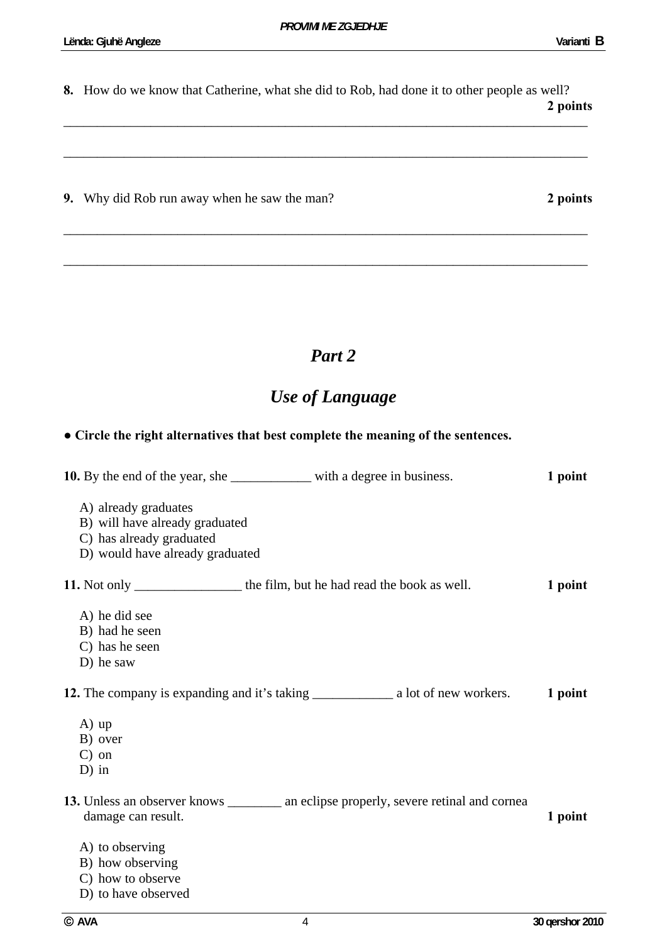**8.** How do we know that Catherine, what she did to Rob, had done it to other people as well? **2 points** \_\_\_\_\_\_\_\_\_\_\_\_\_\_\_\_\_\_\_\_\_\_\_\_\_\_\_\_\_\_\_\_\_\_\_\_\_\_\_\_\_\_\_\_\_\_\_\_\_\_\_\_\_\_\_\_\_\_\_\_\_\_\_\_\_\_\_\_\_\_\_\_\_\_\_\_\_\_

\_\_\_\_\_\_\_\_\_\_\_\_\_\_\_\_\_\_\_\_\_\_\_\_\_\_\_\_\_\_\_\_\_\_\_\_\_\_\_\_\_\_\_\_\_\_\_\_\_\_\_\_\_\_\_\_\_\_\_\_\_\_\_\_\_\_\_\_\_\_\_\_\_\_\_\_\_\_

\_\_\_\_\_\_\_\_\_\_\_\_\_\_\_\_\_\_\_\_\_\_\_\_\_\_\_\_\_\_\_\_\_\_\_\_\_\_\_\_\_\_\_\_\_\_\_\_\_\_\_\_\_\_\_\_\_\_\_\_\_\_\_\_\_\_\_\_\_\_\_\_\_\_\_\_\_\_

\_\_\_\_\_\_\_\_\_\_\_\_\_\_\_\_\_\_\_\_\_\_\_\_\_\_\_\_\_\_\_\_\_\_\_\_\_\_\_\_\_\_\_\_\_\_\_\_\_\_\_\_\_\_\_\_\_\_\_\_\_\_\_\_\_\_\_\_\_\_\_\_\_\_\_\_\_\_

**9.** Why did Rob run away when he saw the man? **2 points**

## *Part 2*

# *Use of Language*

#### **● Circle the right alternatives that best complete the meaning of the sentences.**

|                                                                                                                       | 10. By the end of the year, she ____________ with a degree in business.                 | 1 point |
|-----------------------------------------------------------------------------------------------------------------------|-----------------------------------------------------------------------------------------|---------|
| A) already graduates<br>B) will have already graduated<br>C) has already graduated<br>D) would have already graduated |                                                                                         |         |
|                                                                                                                       |                                                                                         | 1 point |
| A) he did see<br>B) had he seen<br>C) has he seen<br>D) he saw                                                        |                                                                                         | 1 point |
|                                                                                                                       |                                                                                         |         |
| $A)$ up<br>B) over<br>$C$ ) on<br>$D$ ) in                                                                            |                                                                                         |         |
| damage can result.                                                                                                    | 13. Unless an observer knows ___________ an eclipse properly, severe retinal and cornea | 1 point |
| A) to observing<br>B) how observing<br>C) how to observe<br>D) to have observed                                       |                                                                                         |         |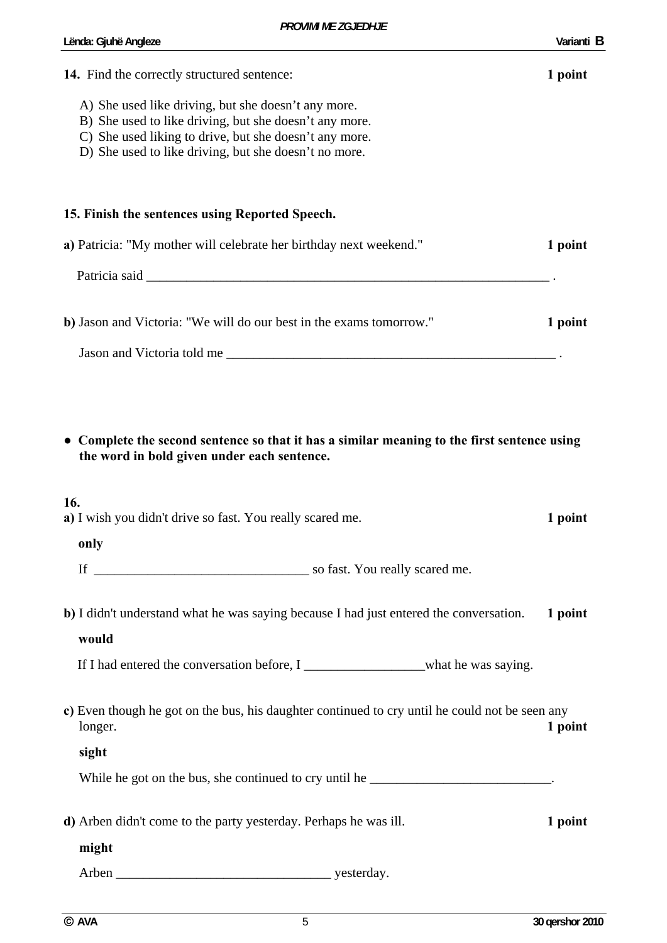**Lënda: Gjuhë Angleze Varianti B** 

| 14. Find the correctly structured sentence:                                                                                                                                                                                      | 1 point |
|----------------------------------------------------------------------------------------------------------------------------------------------------------------------------------------------------------------------------------|---------|
| A) She used like driving, but she doesn't any more.<br>B) She used to like driving, but she doesn't any more.<br>C) She used liking to drive, but she doesn't any more.<br>D) She used to like driving, but she doesn't no more. |         |
| 15. Finish the sentences using Reported Speech.                                                                                                                                                                                  |         |
| a) Patricia: "My mother will celebrate her birthday next weekend."                                                                                                                                                               | 1 point |
|                                                                                                                                                                                                                                  |         |
| b) Jason and Victoria: "We will do our best in the exams tomorrow."                                                                                                                                                              | 1 point |
|                                                                                                                                                                                                                                  |         |
| • Complete the second sentence so that it has a similar meaning to the first sentence using<br>the word in bold given under each sentence.                                                                                       |         |
| 16.<br>a) I wish you didn't drive so fast. You really scared me.                                                                                                                                                                 | 1 point |
| only                                                                                                                                                                                                                             |         |
|                                                                                                                                                                                                                                  |         |
| b) I didn't understand what he was saying because I had just entered the conversation.<br>would                                                                                                                                  | 1 point |
| If I had entered the conversation before, I ________________________what he was saying.                                                                                                                                          |         |
| c) Even though he got on the bus, his daughter continued to cry until he could not be seen any<br>longer.                                                                                                                        | 1 point |
| sight                                                                                                                                                                                                                            |         |
| While he got on the bus, she continued to cry until he _________________________.                                                                                                                                                |         |
| d) Arben didn't come to the party yesterday. Perhaps he was ill.<br>might                                                                                                                                                        | 1 point |
|                                                                                                                                                                                                                                  |         |
|                                                                                                                                                                                                                                  |         |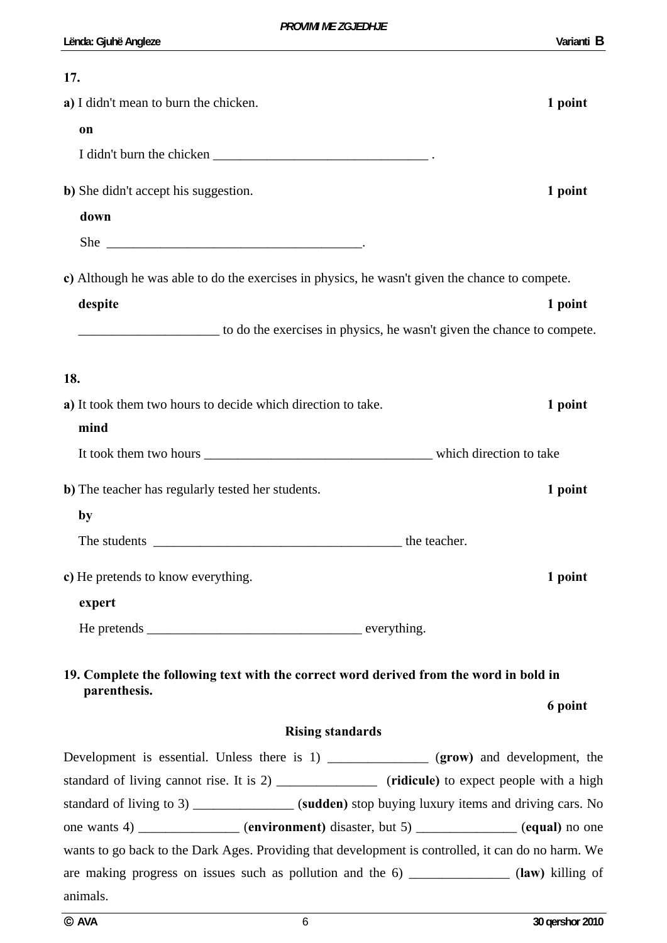| 17.                                                                                                |         |
|----------------------------------------------------------------------------------------------------|---------|
| a) I didn't mean to burn the chicken.                                                              | 1 point |
| on                                                                                                 |         |
|                                                                                                    |         |
| b) She didn't accept his suggestion.                                                               | 1 point |
| down                                                                                               |         |
|                                                                                                    |         |
| c) Although he was able to do the exercises in physics, he wasn't given the chance to compete.     |         |
| despite                                                                                            | 1 point |
| to do the exercises in physics, he wasn't given the chance to compete.                             |         |
|                                                                                                    |         |
| 18.                                                                                                |         |
| a) It took them two hours to decide which direction to take.                                       | 1 point |
| mind                                                                                               |         |
|                                                                                                    |         |
| b) The teacher has regularly tested her students.                                                  | 1 point |
| by                                                                                                 |         |
|                                                                                                    |         |
| c) He pretends to know everything.                                                                 | 1 point |
| expert                                                                                             |         |
|                                                                                                    |         |
|                                                                                                    |         |
| 19. Complete the following text with the correct word derived from the word in bold in             |         |
| parenthesis.                                                                                       | 6 point |
| <b>Rising standards</b>                                                                            |         |
| Development is essential. Unless there is 1) ____________ (grow) and development, the              |         |
| standard of living cannot rise. It is 2) ______________ (ridicule) to expect people with a high    |         |
| standard of living to 3) _______________ (sudden) stop buying luxury items and driving cars. No    |         |
| one wants 4) _____________ (environment) disaster, but 5) ___________ (equal) no one               |         |
| wants to go back to the Dark Ages. Providing that development is controlled, it can do no harm. We |         |
| are making progress on issues such as pollution and the 6) ____________ (law) killing of           |         |
| animals.                                                                                           |         |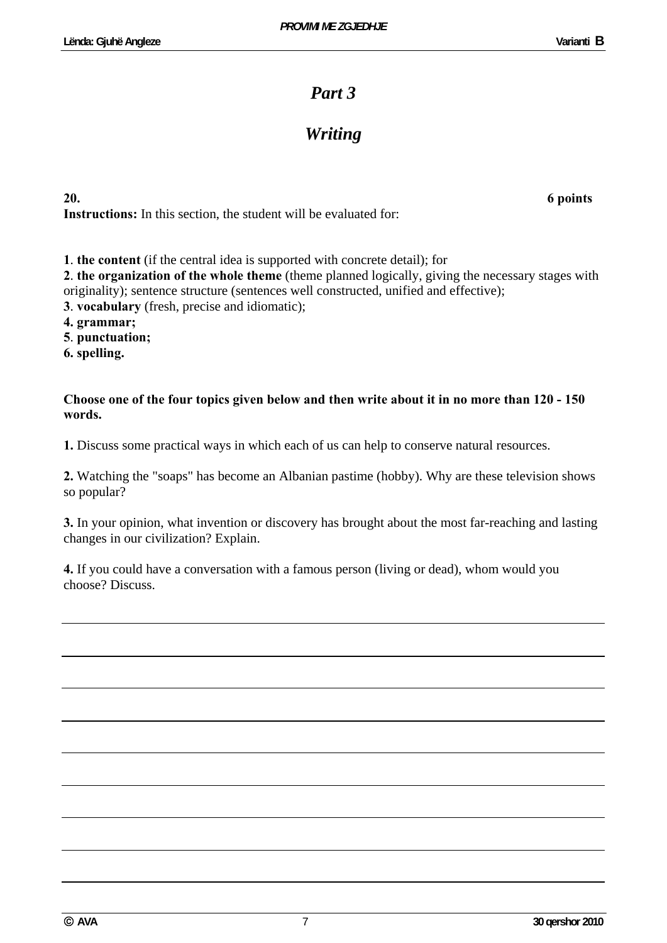### *Part 3*

# *Writing*

**20. 6 points Instructions:** In this section, the student will be evaluated for:

**1**. **the content** (if the central idea is supported with concrete detail); for

**2**. **the organization of the whole theme** (theme planned logically, giving the necessary stages with originality); sentence structure (sentences well constructed, unified and effective);

**3**. **vocabulary** (fresh, precise and idiomatic);

**4. grammar;**

**5**. **punctuation;** 

**6. spelling.** 

**Choose one of the four topics given below and then write about it in no more than 120 - 150 words.** 

**1.** Discuss some practical ways in which each of us can help to conserve natural resources.

**2.** Watching the "soaps" has become an Albanian pastime (hobby). Why are these television shows so popular?

**3.** In your opinion, what invention or discovery has brought about the most far-reaching and lasting changes in our civilization? Explain.

**4.** If you could have a conversation with a famous person (living or dead), whom would you choose? Discuss.